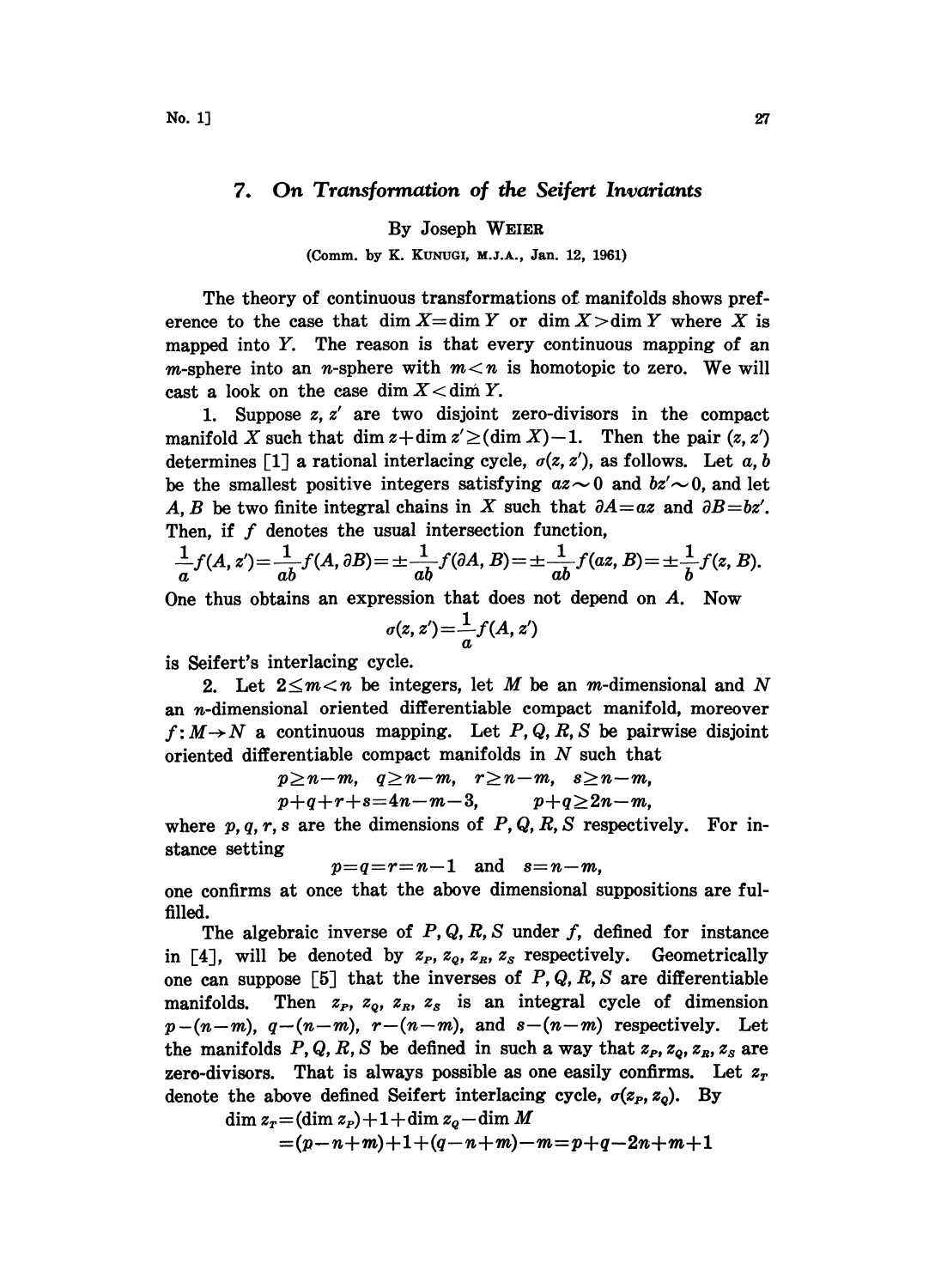## 7. On Transformation of the Seifert Invariants

By Joseph WEIER

(Comm. by K. KUNUOI, M.J.A., Jan. 12, 1961)

The theory of continuous transformations of. manifolds shows preference to the case that dim  $X=\dim Y$  or dim  $X>\dim Y$  where X is mapped into Y. The reason is that every continuous mapping of an *m*-sphere into an *n*-sphere with  $m < n$  is homotopic to zero. We will cast a look on the case dim  $X <$  dim Y.

1. Suppose z, z' are two disjoint zero-divisors in the compact manifold X such that dim  $z + \dim z' \ge (\dim X) - 1$ . Then the pair  $(z, z')$ determines [1] a rational interlacing cycle,  $\sigma(z, z')$ , as follows. Let a, b be the smallest positive integers satisfying  $az\sim 0$  and  $bz'\sim 0$ , and let A, B be two finite integral chains in X such that  $\partial A = az$  and  $\partial B = bz'$ . Then, if  $f$  denotes the usual intersection function,

$$
\frac{1}{a}f(A, z') = \frac{1}{ab}f(A, \partial B) = \pm \frac{1}{ab}f(\partial A, B) = \pm \frac{1}{ab}f(az, B) = \pm \frac{1}{b}f(z, B).
$$

One thus obtains an expression hat does not depend on A. Now

$$
\sigma(z,z') = \frac{1}{a} f(A,z')
$$

is Seifert's interlacing eyele.

2. Let  $2 \leq m < n$  be integers, let M be an m-dimensional and N an *n*-dimensional oriented differentiable compact manifold, moreover  $f: M \rightarrow N$  a continuous mapping. Let P, Q, R, S be pairwise disjoint oriented differentiable compact manifolds in  $N$  such that

$$
p\geq n-m, q\geq n-m, r\geq n-m, s\geq n-m,\\ p+q+r+s=4n-m-3, p+q\geq 2n-m,
$$

where  $p, q, r, s$  are the dimensions of  $P, Q, R, S$  respectively. For instance setting

$$
p=q=r=n-1 \quad \text{and} \quad s=n-m,
$$

one confirms at once that the above dimensional suppositions are fulfilled.

The algebraic inverse of  $P$ ,  $Q$ ,  $R$ ,  $S$  under  $f$ , defined for instance in [4], will be denoted by  $z_P$ ,  $z_Q$ ,  $z_R$ ,  $z_S$  respectively. Geometrically one can suppose [5] that the inverses of P, Q, R, S are differentiable manifolds. Then  $z_p$ ,  $z_o$ ,  $z_R$ ,  $z_s$  is an integral cycle of dimension Then  $z_p$ ,  $z_q$ ,  $z_g$ ,  $z_s$  is an integral cycle of dimension  $p-(n-m)$ ,  $q-(n-m)$ ,  $r-(n-m)$ , and  $s-(n-m)$  respectively. Let the manifolds P, Q, R, S be defined in such a way that  $z_p$ ,  $z_q$ ,  $z_g$ ,  $z_g$  are zero-divisors. That is always possible as one easily confirms. Let  $z<sub>r</sub>$ denote the above defined Seifert interlacing cycle,  $\sigma(z_P, z_Q)$ . By<br>dim  $z_T = (\dim z_P) + 1 + \dim z_Q - \dim M$ 

$$
\lim z_r = (\dim z_r) + 1 + \dim z_q - \dim M
$$
  
= (p-n+m)+1+(q-n+m)-m=p+q-2n+m+1